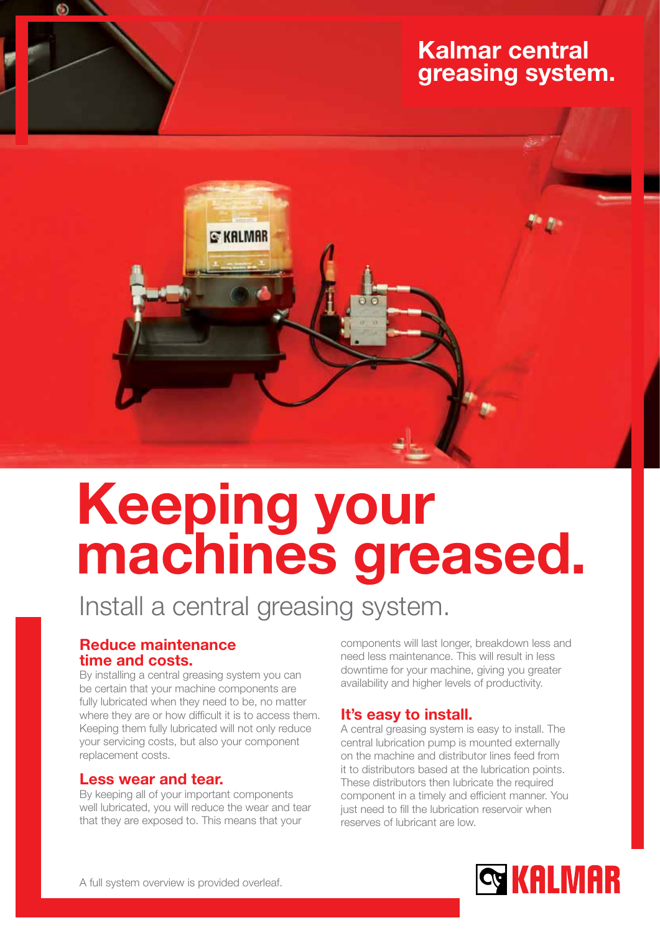### Kalmar central greasing system.



# Keeping your machines greased.

## Install a central greasing system.

#### Reduce maintenance time and costs.

By installing a central greasing system you can be certain that your machine components are fully lubricated when they need to be, no matter where they are or how difficult it is to access them. Keeping them fully lubricated will not only reduce your servicing costs, but also your component replacement costs.

#### Less wear and tear.

By keeping all of your important components well lubricated, you will reduce the wear and tear that they are exposed to. This means that your

components will last longer, breakdown less and need less maintenance. This will result in less downtime for your machine, giving you greater availability and higher levels of productivity.

#### It's easy to install.

A central greasing system is easy to install. The central lubrication pump is mounted externally on the machine and distributor lines feed from it to distributors based at the lubrication points. These distributors then lubricate the required component in a timely and efficient manner. You just need to fill the lubrication reservoir when reserves of lubricant are low.